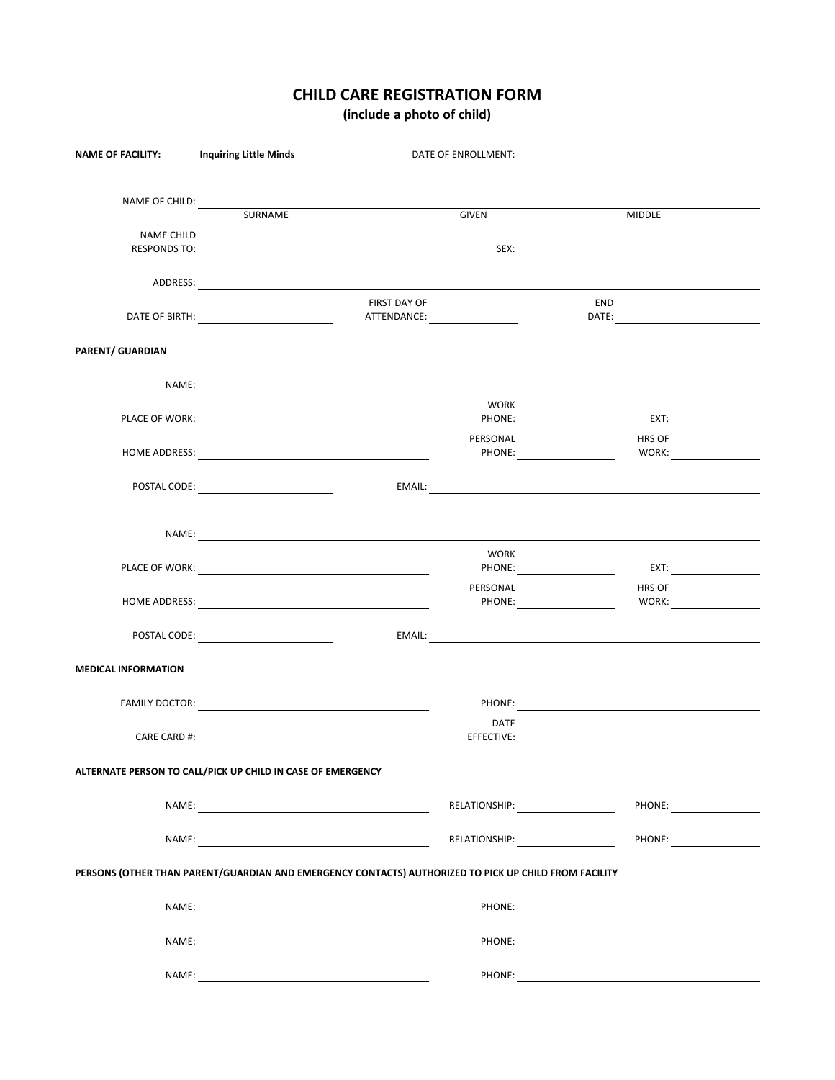## **CHILD CARE REGISTRATION FORM**

**(include a photo of child)**

| <b>NAME OF FACILITY:</b>   | <b>Inquiring Little Minds</b>                                                                                                                                                                                                        |                                                                                                                | DATE OF ENROLLMENT: The contract of the contract of the contract of the contract of the contract of the contract of the contract of the contract of the contract of the contract of the contract of the contract of the contra |  |
|----------------------------|--------------------------------------------------------------------------------------------------------------------------------------------------------------------------------------------------------------------------------------|----------------------------------------------------------------------------------------------------------------|--------------------------------------------------------------------------------------------------------------------------------------------------------------------------------------------------------------------------------|--|
|                            |                                                                                                                                                                                                                                      |                                                                                                                |                                                                                                                                                                                                                                |  |
|                            |                                                                                                                                                                                                                                      |                                                                                                                |                                                                                                                                                                                                                                |  |
|                            | NAME OF CHILD: SURNAME                                                                                                                                                                                                               | GIVEN                                                                                                          | <b>MIDDLE</b>                                                                                                                                                                                                                  |  |
| NAME CHILD                 |                                                                                                                                                                                                                                      |                                                                                                                |                                                                                                                                                                                                                                |  |
|                            |                                                                                                                                                                                                                                      |                                                                                                                |                                                                                                                                                                                                                                |  |
|                            |                                                                                                                                                                                                                                      |                                                                                                                |                                                                                                                                                                                                                                |  |
|                            | ADDRESS:                                                                                                                                                                                                                             |                                                                                                                |                                                                                                                                                                                                                                |  |
|                            | <b>FIRST DAY OF</b>                                                                                                                                                                                                                  |                                                                                                                | END                                                                                                                                                                                                                            |  |
|                            |                                                                                                                                                                                                                                      |                                                                                                                |                                                                                                                                                                                                                                |  |
| PARENT/ GUARDIAN           |                                                                                                                                                                                                                                      |                                                                                                                |                                                                                                                                                                                                                                |  |
|                            |                                                                                                                                                                                                                                      |                                                                                                                |                                                                                                                                                                                                                                |  |
|                            | NAME:                                                                                                                                                                                                                                |                                                                                                                |                                                                                                                                                                                                                                |  |
|                            |                                                                                                                                                                                                                                      | <b>WORK</b>                                                                                                    |                                                                                                                                                                                                                                |  |
|                            |                                                                                                                                                                                                                                      | PHONE: <u>________________________</u>                                                                         |                                                                                                                                                                                                                                |  |
|                            | HOME ADDRESS: New York Contract the Contract of the Contract of the Contract of the Contract of the Contract of the Contract of the Contract of the Contract of the Contract of the Contract of the Contract of the Contract o       | PERSONAL                                                                                                       | HRS OF                                                                                                                                                                                                                         |  |
|                            |                                                                                                                                                                                                                                      |                                                                                                                |                                                                                                                                                                                                                                |  |
|                            | POSTAL CODE: NAME OF STRAINING STRAINING STRAINING STRAINING STRAINING STRAINING STRAINING STRAINING STRAINING                                                                                                                       |                                                                                                                |                                                                                                                                                                                                                                |  |
|                            |                                                                                                                                                                                                                                      |                                                                                                                |                                                                                                                                                                                                                                |  |
|                            | NAME: <u>and the second contract of the second contract of the second contract of the second contract of the second contract of the second contract of the second contract of the second contract of the second contract of the </u> |                                                                                                                |                                                                                                                                                                                                                                |  |
|                            |                                                                                                                                                                                                                                      | <b>WORK</b>                                                                                                    |                                                                                                                                                                                                                                |  |
|                            |                                                                                                                                                                                                                                      | PHONE: _______________________                                                                                 | EXT: A CONSTRUCTION OF THE STATE OF THE STATE OF THE STATE OF THE STATE OF THE STATE OF THE STATE OF THE STATE OF THE STATE OF THE STATE OF THE STATE OF THE STATE OF THE STATE OF THE STATE OF THE STATE OF THE STATE OF THE  |  |
|                            |                                                                                                                                                                                                                                      | PERSONAL                                                                                                       | HRS OF                                                                                                                                                                                                                         |  |
|                            |                                                                                                                                                                                                                                      | PHONE: PHONE                                                                                                   |                                                                                                                                                                                                                                |  |
|                            |                                                                                                                                                                                                                                      |                                                                                                                |                                                                                                                                                                                                                                |  |
|                            |                                                                                                                                                                                                                                      |                                                                                                                | EMAIL: And the contract of the contract of the contract of the contract of the contract of the contract of the contract of the contract of the contract of the contract of the contract of the contract of the contract of the |  |
| <b>MEDICAL INFORMATION</b> |                                                                                                                                                                                                                                      |                                                                                                                |                                                                                                                                                                                                                                |  |
|                            |                                                                                                                                                                                                                                      |                                                                                                                |                                                                                                                                                                                                                                |  |
|                            |                                                                                                                                                                                                                                      |                                                                                                                |                                                                                                                                                                                                                                |  |
|                            |                                                                                                                                                                                                                                      | DATE                                                                                                           |                                                                                                                                                                                                                                |  |
|                            |                                                                                                                                                                                                                                      |                                                                                                                |                                                                                                                                                                                                                                |  |
|                            | ALTERNATE PERSON TO CALL/PICK UP CHILD IN CASE OF EMERGENCY                                                                                                                                                                          |                                                                                                                |                                                                                                                                                                                                                                |  |
|                            |                                                                                                                                                                                                                                      |                                                                                                                |                                                                                                                                                                                                                                |  |
|                            |                                                                                                                                                                                                                                      | RELATIONSHIP: VALUE AND A VALUE AND A VALUE AND A VALUE OF THE VALUE OF THE VALUE OF THE VALUE OF THE VALUE OF | PHONE:                                                                                                                                                                                                                         |  |
|                            |                                                                                                                                                                                                                                      |                                                                                                                |                                                                                                                                                                                                                                |  |
|                            |                                                                                                                                                                                                                                      |                                                                                                                | PHONE: <u>_______________________</u>                                                                                                                                                                                          |  |
|                            | PERSONS (OTHER THAN PARENT/GUARDIAN AND EMERGENCY CONTACTS) AUTHORIZED TO PICK UP CHILD FROM FACILITY                                                                                                                                |                                                                                                                |                                                                                                                                                                                                                                |  |
|                            |                                                                                                                                                                                                                                      |                                                                                                                |                                                                                                                                                                                                                                |  |
|                            |                                                                                                                                                                                                                                      |                                                                                                                | PHONE: And the contract of the contract of the contract of the contract of the contract of the contract of the contract of the contract of the contract of the contract of the contract of the contract of the contract of the |  |
|                            |                                                                                                                                                                                                                                      |                                                                                                                |                                                                                                                                                                                                                                |  |
|                            |                                                                                                                                                                                                                                      |                                                                                                                |                                                                                                                                                                                                                                |  |
|                            |                                                                                                                                                                                                                                      |                                                                                                                |                                                                                                                                                                                                                                |  |
|                            |                                                                                                                                                                                                                                      |                                                                                                                |                                                                                                                                                                                                                                |  |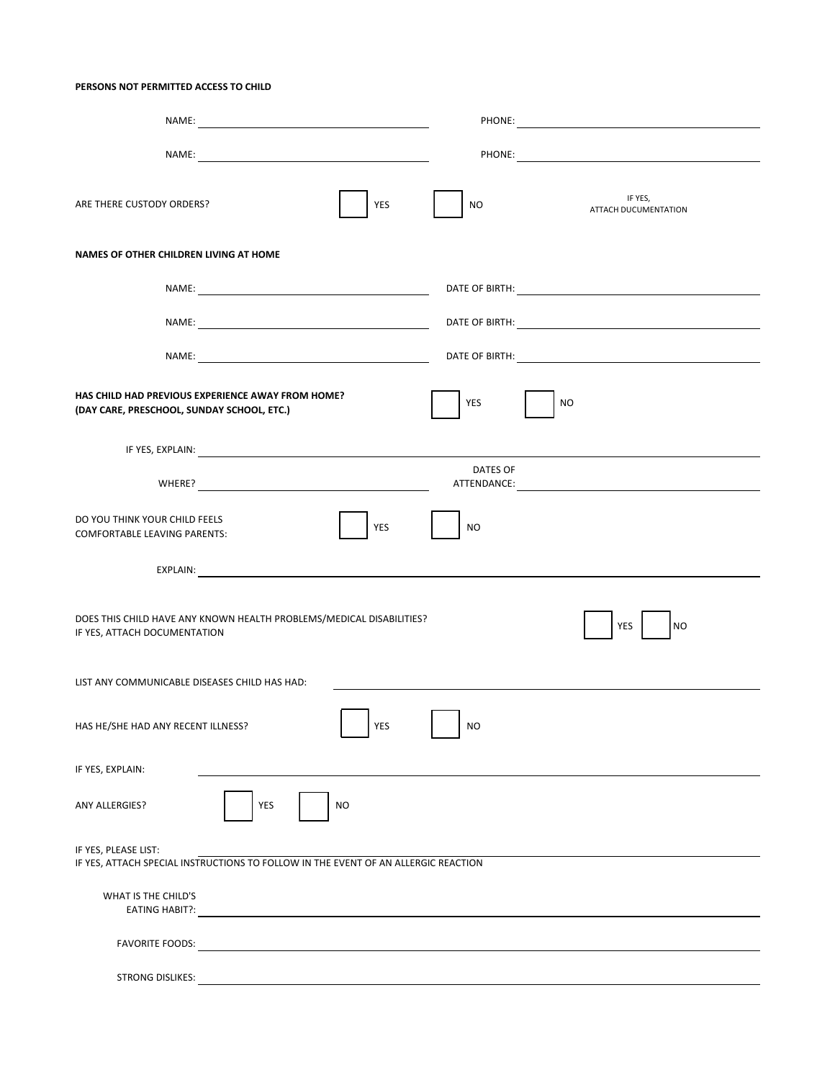## **PERSONS NOT PERMITTED ACCESS TO CHILD**

| YES<br>ARE THERE CUSTODY ORDERS?                                                                           | IF YES,<br>NO<br>ATTACH DUCUMENTATION |
|------------------------------------------------------------------------------------------------------------|---------------------------------------|
| NAMES OF OTHER CHILDREN LIVING AT HOME                                                                     |                                       |
|                                                                                                            |                                       |
|                                                                                                            |                                       |
|                                                                                                            |                                       |
| HAS CHILD HAD PREVIOUS EXPERIENCE AWAY FROM HOME?<br>(DAY CARE, PRESCHOOL, SUNDAY SCHOOL, ETC.)            | <b>YES</b><br><b>NO</b>               |
|                                                                                                            |                                       |
|                                                                                                            | DATES OF                              |
| DO YOU THINK YOUR CHILD FEELS<br><b>YES</b><br><b>COMFORTABLE LEAVING PARENTS:</b>                         | <b>NO</b>                             |
|                                                                                                            |                                       |
| DOES THIS CHILD HAVE ANY KNOWN HEALTH PROBLEMS/MEDICAL DISABILITIES?<br>IF YES, ATTACH DOCUMENTATION       | YES<br><b>NO</b>                      |
| LIST ANY COMMUNICABLE DISEASES CHILD HAS HAD:                                                              |                                       |
| <b>YES</b><br>HAS HE/SHE HAD ANY RECENT ILLNESS?                                                           | N <sub>O</sub>                        |
| IF YES, EXPLAIN:                                                                                           |                                       |
| YES<br>NO<br><b>ANY ALLERGIES?</b>                                                                         |                                       |
| IF YES, PLEASE LIST:<br>IF YES, ATTACH SPECIAL INSTRUCTIONS TO FOLLOW IN THE EVENT OF AN ALLERGIC REACTION |                                       |
| WHAT IS THE CHILD'S                                                                                        |                                       |
| <b>FAVORITE FOODS:</b>                                                                                     |                                       |
| STRONG DISLIKES:                                                                                           |                                       |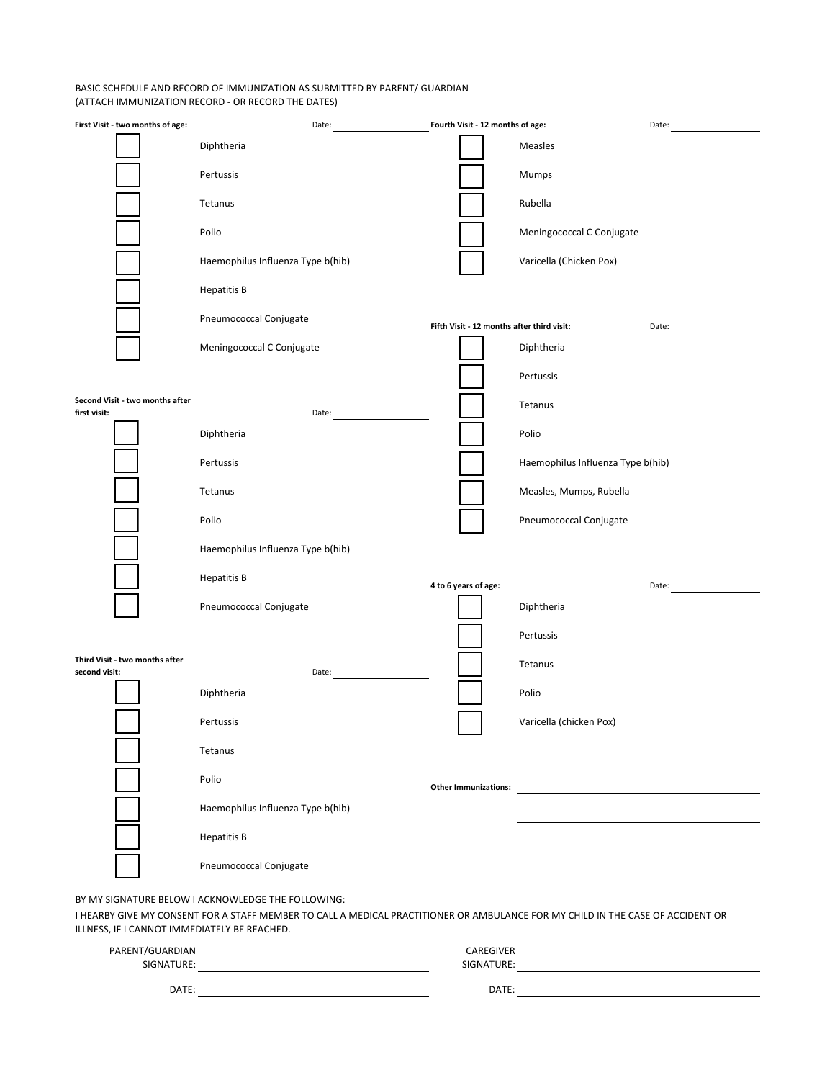## BASIC SCHEDULE AND RECORD OF IMMUNIZATION AS SUBMITTED BY PARENT/ GUARDIAN (ATTACH IMMUNIZATION RECORD - OR RECORD THE DATES)

| First Visit - two months of age:                | Date:                                                                                                                                                                                 | Fourth Visit - 12 months of age:           | Date:                             |
|-------------------------------------------------|---------------------------------------------------------------------------------------------------------------------------------------------------------------------------------------|--------------------------------------------|-----------------------------------|
|                                                 | Diphtheria                                                                                                                                                                            |                                            | Measles                           |
|                                                 | Pertussis                                                                                                                                                                             |                                            | Mumps                             |
|                                                 | Tetanus                                                                                                                                                                               |                                            | Rubella                           |
|                                                 | Polio                                                                                                                                                                                 |                                            | Meningococcal C Conjugate         |
|                                                 | Haemophilus Influenza Type b(hib)                                                                                                                                                     |                                            | Varicella (Chicken Pox)           |
|                                                 | <b>Hepatitis B</b>                                                                                                                                                                    |                                            |                                   |
|                                                 | Pneumococcal Conjugate                                                                                                                                                                | Fifth Visit - 12 months after third visit: | Date:                             |
|                                                 | Meningococcal C Conjugate                                                                                                                                                             |                                            | Diphtheria                        |
|                                                 |                                                                                                                                                                                       |                                            | Pertussis                         |
| Second Visit - two months after<br>first visit: | Date:                                                                                                                                                                                 |                                            | Tetanus                           |
|                                                 | Diphtheria                                                                                                                                                                            |                                            | Polio                             |
|                                                 | Pertussis                                                                                                                                                                             |                                            | Haemophilus Influenza Type b(hib) |
|                                                 | Tetanus                                                                                                                                                                               |                                            | Measles, Mumps, Rubella           |
|                                                 | Polio                                                                                                                                                                                 |                                            | Pneumococcal Conjugate            |
|                                                 | Haemophilus Influenza Type b(hib)                                                                                                                                                     |                                            |                                   |
|                                                 | <b>Hepatitis B</b>                                                                                                                                                                    | 4 to 6 years of age:                       | Date:                             |
|                                                 | Pneumococcal Conjugate                                                                                                                                                                |                                            | Diphtheria                        |
|                                                 |                                                                                                                                                                                       |                                            | Pertussis                         |
| Third Visit - two months after<br>second visit: | Date:                                                                                                                                                                                 |                                            | Tetanus                           |
|                                                 | Diphtheria                                                                                                                                                                            |                                            | Polio                             |
|                                                 | Pertussis                                                                                                                                                                             |                                            | Varicella (chicken Pox)           |
|                                                 | Tetanus                                                                                                                                                                               |                                            |                                   |
|                                                 | Polio                                                                                                                                                                                 | <b>Other Immunizations:</b>                |                                   |
|                                                 | Haemophilus Influenza Type b(hib)                                                                                                                                                     |                                            |                                   |
|                                                 | <b>Hepatitis B</b>                                                                                                                                                                    |                                            |                                   |
|                                                 | Pneumococcal Conjugate                                                                                                                                                                |                                            |                                   |
| ILLNESS, IF I CANNOT IMMEDIATELY BE REACHED.    | BY MY SIGNATURE BELOW I ACKNOWLEDGE THE FOLLOWING:<br>I HEARBY GIVE MY CONSENT FOR A STAFF MEMBER TO CALL A MEDICAL PRACTITIONER OR AMBULANCE FOR MY CHILD IN THE CASE OF ACCIDENT OR |                                            |                                   |

| PARENT/GUARDIAN<br>SIGNATURE: | CAREGIVER<br>SIGNATURE: |  |
|-------------------------------|-------------------------|--|
| DATE:                         | DATE:                   |  |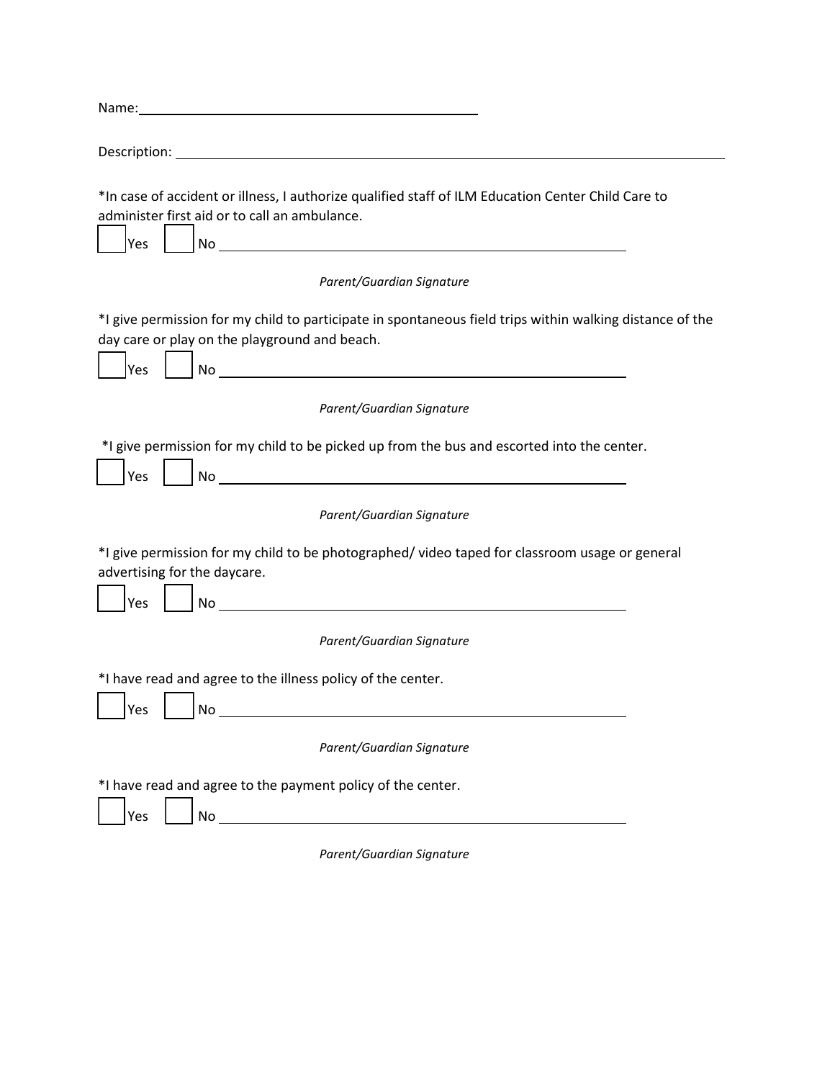| *In case of accident or illness, I authorize qualified staff of ILM Education Center Child Care to<br>administer first aid or to call an ambulance.<br>Yes                                                                         |
|------------------------------------------------------------------------------------------------------------------------------------------------------------------------------------------------------------------------------------|
| Parent/Guardian Signature                                                                                                                                                                                                          |
| *I give permission for my child to participate in spontaneous field trips within walking distance of the<br>day care or play on the playground and beach.<br>Yes<br>No                                                             |
| Parent/Guardian Signature                                                                                                                                                                                                          |
| *I give permission for my child to be picked up from the bus and escorted into the center.<br><u> 1980 - Johann Stoff, deutscher Stoffen und der Stoffen und der Stoffen und der Stoffen und der Stoffen und de</u><br>Yes<br>No l |
| Parent/Guardian Signature                                                                                                                                                                                                          |
| *I give permission for my child to be photographed/video taped for classroom usage or general<br>advertising for the daycare.<br><u> 1980 - Andrea Andrew Maria (h. 1980).</u><br>Yes<br>No l                                      |
| Parent/Guardian Signature                                                                                                                                                                                                          |
| *I have read and agree to the illness policy of the center.<br>No<br>Yes                                                                                                                                                           |
| Parent/Guardian Signature                                                                                                                                                                                                          |
| *I have read and agree to the payment policy of the center.<br>Yes                                                                                                                                                                 |
| Parent/Guardian Signature                                                                                                                                                                                                          |